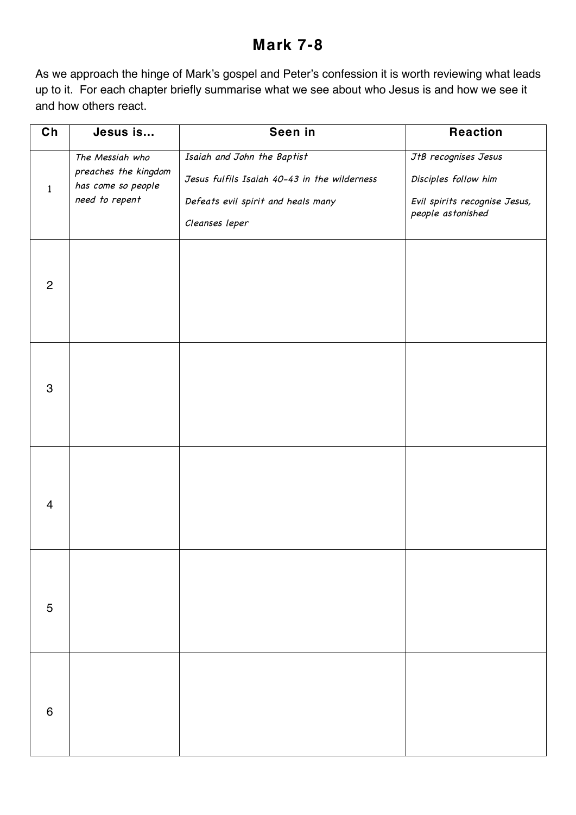## **Mark 7-8**

As we approach the hinge of Mark's gospel and Peter's confession it is worth reviewing what leads up to it. For each chapter briefly summarise what we see about who Jesus is and how we see it and how others react.

| Ch             | Jesus is                                                                        | Seen in                                                                                                                             | <b>Reaction</b>                                                                                    |
|----------------|---------------------------------------------------------------------------------|-------------------------------------------------------------------------------------------------------------------------------------|----------------------------------------------------------------------------------------------------|
| $\mathbf{1}$   | The Messiah who<br>preaches the kingdom<br>has come so people<br>need to repent | Isaiah and John the Baptist<br>Jesus fulfils Isaiah 40-43 in the wilderness<br>Defeats evil spirit and heals many<br>Cleanses leper | JtB recognises Jesus<br>Disciples follow him<br>Evil spirits recognise Jesus,<br>people astonished |
| $\overline{2}$ |                                                                                 |                                                                                                                                     |                                                                                                    |
| 3              |                                                                                 |                                                                                                                                     |                                                                                                    |
| $\overline{4}$ |                                                                                 |                                                                                                                                     |                                                                                                    |
| $\sqrt{5}$     |                                                                                 |                                                                                                                                     |                                                                                                    |
| $\,6$          |                                                                                 |                                                                                                                                     |                                                                                                    |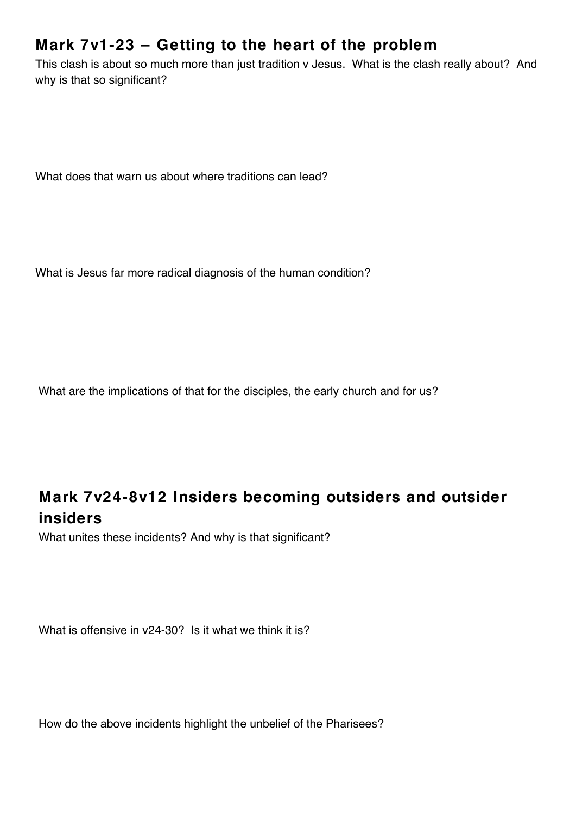## **Mark 7v1-23 – Getting to the heart of the problem**

This clash is about so much more than just tradition v Jesus. What is the clash really about? And why is that so significant?

What does that warn us about where traditions can lead?

What is Jesus far more radical diagnosis of the human condition?

What are the implications of that for the disciples, the early church and for us?

## **Mark 7v24-8v12 Insiders becoming outsiders and outsider insiders**

What unites these incidents? And why is that significant?

What is offensive in v24-30? Is it what we think it is?

How do the above incidents highlight the unbelief of the Pharisees?